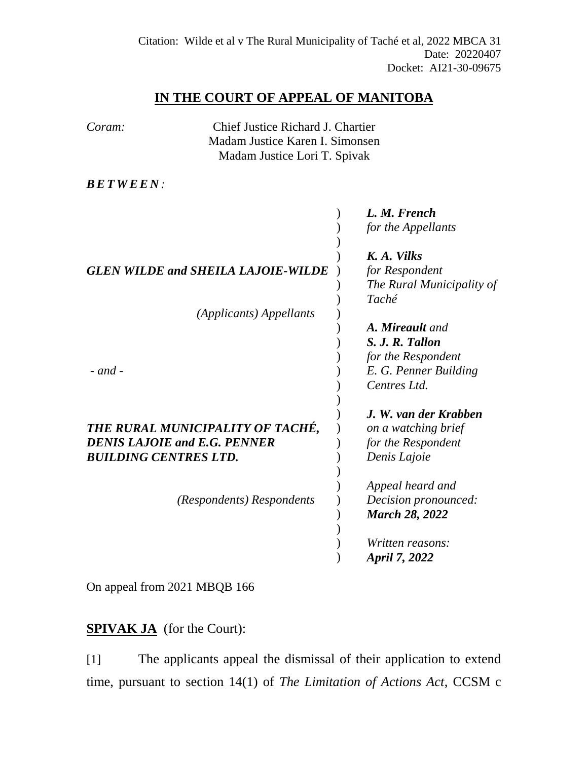## **IN THE COURT OF APPEAL OF MANITOBA**

| Coram:          | Chief Justice Richard J. Chartier<br>Madam Justice Karen I. Simonsen                                    |                                                                                                   |
|-----------------|---------------------------------------------------------------------------------------------------------|---------------------------------------------------------------------------------------------------|
|                 | Madam Justice Lori T. Spivak                                                                            |                                                                                                   |
| <b>BETWEEN:</b> |                                                                                                         |                                                                                                   |
|                 |                                                                                                         | L. M. French<br>for the Appellants                                                                |
|                 | <b>GLEN WILDE and SHEILA LAJOIE-WILDE</b>                                                               | K. A. Vilks<br>for Respondent<br>The Rural Municipality of<br>Taché                               |
|                 | (Applicants) Appellants                                                                                 |                                                                                                   |
| $-$ and $-$     |                                                                                                         | A. Mireault and<br>S. J. R. Tallon<br>for the Respondent<br>E. G. Penner Building<br>Centres Ltd. |
|                 | THE RURAL MUNICIPALITY OF TACHÉ,<br><b>DENIS LAJOIE and E.G. PENNER</b><br><b>BUILDING CENTRES LTD.</b> | J. W. van der Krabben<br>on a watching brief<br>for the Respondent<br>Denis Lajoie                |
|                 | (Respondents) Respondents                                                                               | Appeal heard and<br>Decision pronounced:<br><b>March 28, 2022</b>                                 |
|                 |                                                                                                         | Written reasons:<br>April 7, 2022                                                                 |

On appeal from 2021 MBQB 166

## **SPIVAK JA** (for the Court):

[1] The applicants appeal the dismissal of their application to extend time, pursuant to section 14(1) of *The Limitation of Actions Act*, CCSM c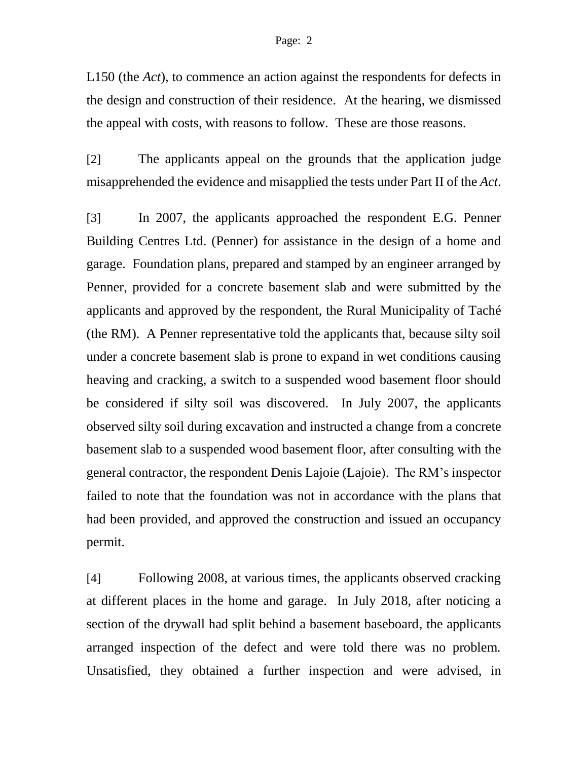## Page: 2

L150 (the *Act*), to commence an action against the respondents for defects in the design and construction of their residence. At the hearing, we dismissed the appeal with costs, with reasons to follow. These are those reasons.

[2] The applicants appeal on the grounds that the application judge misapprehended the evidence and misapplied the tests under Part II of the *Act*.

[3] In 2007, the applicants approached the respondent E.G. Penner Building Centres Ltd. (Penner) for assistance in the design of a home and garage. Foundation plans, prepared and stamped by an engineer arranged by Penner, provided for a concrete basement slab and were submitted by the applicants and approved by the respondent, the Rural Municipality of Taché (the RM). A Penner representative told the applicants that, because silty soil under a concrete basement slab is prone to expand in wet conditions causing heaving and cracking, a switch to a suspended wood basement floor should be considered if silty soil was discovered. In July 2007, the applicants observed silty soil during excavation and instructed a change from a concrete basement slab to a suspended wood basement floor, after consulting with the general contractor, the respondent Denis Lajoie (Lajoie). The RM's inspector failed to note that the foundation was not in accordance with the plans that had been provided, and approved the construction and issued an occupancy permit.

[4] Following 2008, at various times, the applicants observed cracking at different places in the home and garage. In July 2018, after noticing a section of the drywall had split behind a basement baseboard, the applicants arranged inspection of the defect and were told there was no problem. Unsatisfied, they obtained a further inspection and were advised, in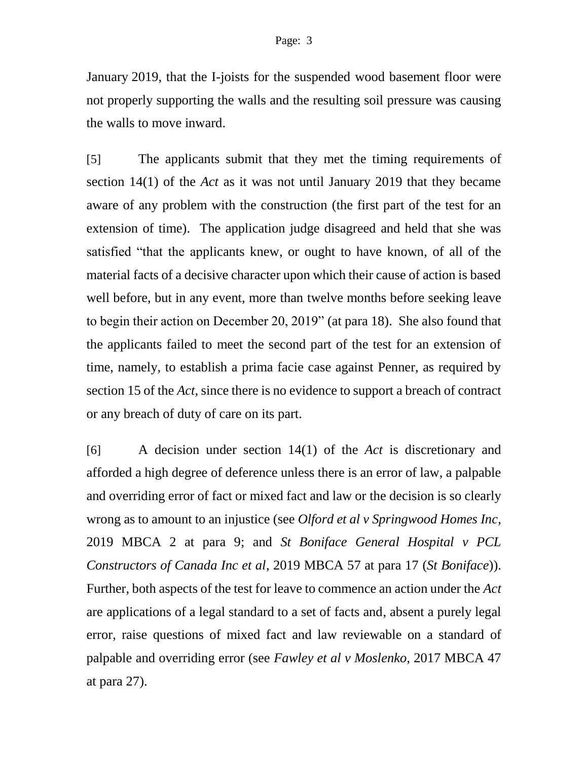January 2019, that the I-joists for the suspended wood basement floor were not properly supporting the walls and the resulting soil pressure was causing the walls to move inward.

[5] The applicants submit that they met the timing requirements of section 14(1) of the *Act* as it was not until January 2019 that they became aware of any problem with the construction (the first part of the test for an extension of time). The application judge disagreed and held that she was satisfied "that the applicants knew, or ought to have known, of all of the material facts of a decisive character upon which their cause of action is based well before, but in any event, more than twelve months before seeking leave to begin their action on December 20, 2019" (at para 18). She also found that the applicants failed to meet the second part of the test for an extension of time, namely, to establish a prima facie case against Penner, as required by section 15 of the *Act*, since there is no evidence to support a breach of contract or any breach of duty of care on its part.

[6] A decision under section 14(1) of the *Act* is discretionary and afforded a high degree of deference unless there is an error of law, a palpable and overriding error of fact or mixed fact and law or the decision is so clearly wrong as to amount to an injustice (see *Olford et al v Springwood Homes Inc*, 2019 MBCA 2 at para 9; and *St Boniface General Hospital v PCL Constructors of Canada Inc et al*, 2019 MBCA 57 at para 17 (*St Boniface*)). Further, both aspects of the test for leave to commence an action under the *Act* are applications of a legal standard to a set of facts and, absent a purely legal error, raise questions of mixed fact and law reviewable on a standard of palpable and overriding error (see *Fawley et al v Moslenko*, 2017 MBCA 47 at para 27).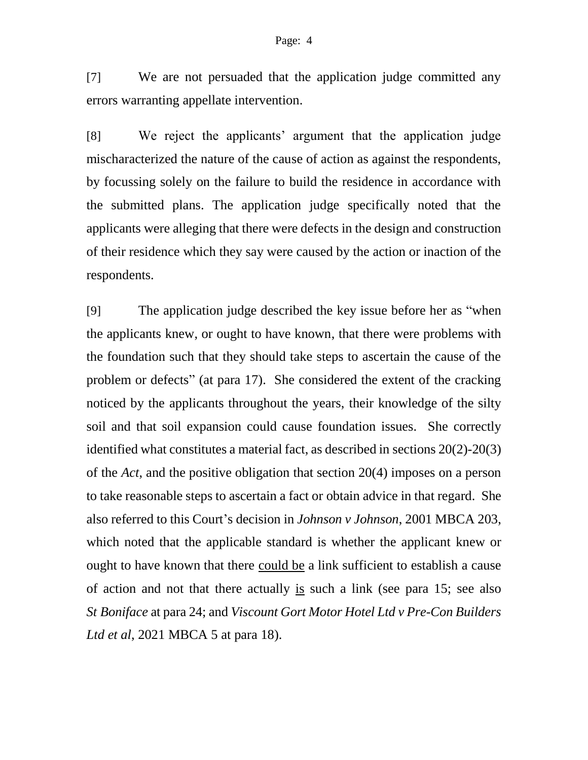[7] We are not persuaded that the application judge committed any errors warranting appellate intervention.

[8] We reject the applicants' argument that the application judge mischaracterized the nature of the cause of action as against the respondents, by focussing solely on the failure to build the residence in accordance with the submitted plans. The application judge specifically noted that the applicants were alleging that there were defects in the design and construction of their residence which they say were caused by the action or inaction of the respondents.

[9] The application judge described the key issue before her as "when the applicants knew, or ought to have known, that there were problems with the foundation such that they should take steps to ascertain the cause of the problem or defects" (at para 17). She considered the extent of the cracking noticed by the applicants throughout the years, their knowledge of the silty soil and that soil expansion could cause foundation issues. She correctly identified what constitutes a material fact, as described in sections 20(2)-20(3) of the *Act*, and the positive obligation that section 20(4) imposes on a person to take reasonable steps to ascertain a fact or obtain advice in that regard. She also referred to this Court's decision in *Johnson v Johnson*, 2001 MBCA 203, which noted that the applicable standard is whether the applicant knew or ought to have known that there could be a link sufficient to establish a cause of action and not that there actually is such a link (see para 15; see also *St Boniface* at para 24; and *Viscount Gort Motor Hotel Ltd v Pre-Con Builders Ltd et al*, 2021 MBCA 5 at para 18).